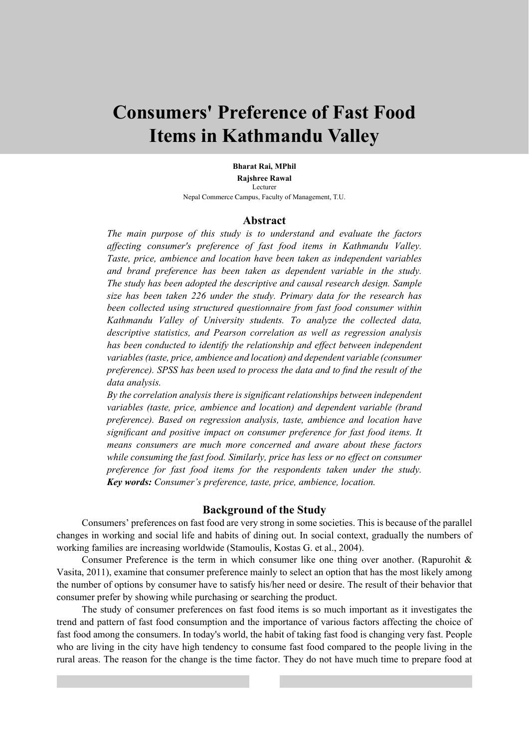# **Consumers' Preference of Fast Food Items in Kathmandu Valley**

**Bharat Rai, MPhil Rajshree Rawal**  Lecturer Nepal Commerce Campus, Faculty of Management, T.U.

#### **Abstract**

*The main purpose of this study is to understand and evaluate the factors affecting consumer's preference of fast food items in Kathmandu Valley. Taste, price, ambience and location have been taken as independent variables and brand preference has been taken as dependent variable in the study. The study has been adopted the descriptive and causal research design. Sample size has been taken 226 under the study. Primary data for the research has been collected using structured questionnaire from fast food consumer within Kathmandu Valley of University students. To analyze the collected data, descriptive statistics, and Pearson correlation as well as regression analysis has been conducted to identify the relationship and effect between independent variables (taste, price, ambience and location) and dependent variable (consumer preference). SPSS has been used to process the data and to find the result of the data analysis.*

*By the correlation analysis there is significant relationships between independent variables (taste, price, ambience and location) and dependent variable (brand preference). Based on regression analysis, taste, ambience and location have significant and positive impact on consumer preference for fast food items. It means consumers are much more concerned and aware about these factors*  while consuming the fast food. Similarly, price has less or no effect on consumer *preference for fast food items for the respondents taken under the study. Key words: Consumer's preference, taste, price, ambience, location.*

#### **Background of the Study**

Consumers' preferences on fast food are very strong in some societies. This is because of the parallel changes in working and social life and habits of dining out. In social context, gradually the numbers of working families are increasing worldwide (Stamoulis, Kostas G. et al., 2004).

Consumer Preference is the term in which consumer like one thing over another. (Rapurohit & Vasita, 2011), examine that consumer preference mainly to select an option that has the most likely among the number of options by consumer have to satisfy his/her need or desire. The result of their behavior that consumer prefer by showing while purchasing or searching the product.

The study of consumer preferences on fast food items is so much important as it investigates the trend and pattern of fast food consumption and the importance of various factors affecting the choice of fast food among the consumers. In today's world, the habit of taking fast food is changing very fast. People who are living in the city have high tendency to consume fast food compared to the people living in the rural areas. The reason for the change is the time factor. They do not have much time to prepare food at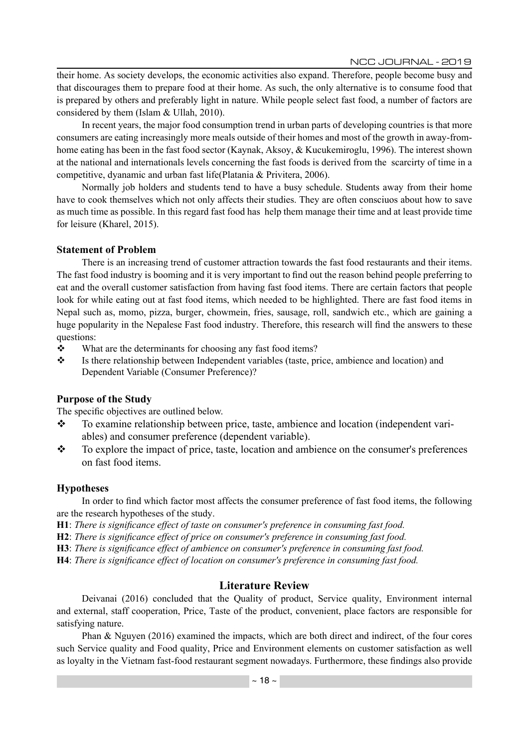their home. As society develops, the economic activities also expand. Therefore, people become busy and that discourages them to prepare food at their home. As such, the only alternative is to consume food that is prepared by others and preferably light in nature. While people select fast food, a number of factors are considered by them (Islam & Ullah, 2010).

In recent years, the major food consumption trend in urban parts of developing countries is that more consumers are eating increasingly more meals outside of their homes and most of the growth in away-fromhome eating has been in the fast food sector (Kaynak, Aksoy, & Kucukemiroglu, 1996). The interest shown at the national and internationals levels concerning the fast foods is derived from the scarcirty of time in a competitive, dyanamic and urban fast life(Platania & Privitera, 2006).

Normally job holders and students tend to have a busy schedule. Students away from their home have to cook themselves which not only affects their studies. They are often consciuos about how to save as much time as possible. In this regard fast food has help them manage their time and at least provide time for leisure (Kharel, 2015).

# **Statement of Problem**

There is an increasing trend of customer attraction towards the fast food restaurants and their items. The fast food industry is booming and it is very important to find out the reason behind people preferring to eat and the overall customer satisfaction from having fast food items. There are certain factors that people look for while eating out at fast food items, which needed to be highlighted. There are fast food items in Nepal such as, momo, pizza, burger, chowmein, fries, sausage, roll, sandwich etc., which are gaining a huge popularity in the Nepalese Fast food industry. Therefore, this research will find the answers to these questions:

- What are the determinants for choosing any fast food items?
- \* Is there relationship between Independent variables (taste, price, ambience and location) and Dependent Variable (Consumer Preference)?

# **Purpose of the Study**

The specific objectives are outlined below.

- \* To examine relationship between price, taste, ambience and location (independent variables) and consumer preference (dependent variable).
- \* To explore the impact of price, taste, location and ambience on the consumer's preferences on fast food items.

# **Hypotheses**

In order to find which factor most affects the consumer preference of fast food items, the following are the research hypotheses of the study.

- **H1**: *There is significance effect of taste on consumer's preference in consuming fast food.*
- **H2**: *There is significance effect of price on consumer's preference in consuming fast food.*
- **H3**: *There is significance effect of ambience on consumer's preference in consuming fast food.*
- **H4**: *There is significance effect of location on consumer's preference in consuming fast food.*

# **Literature Review**

Deivanai (2016) concluded that the Quality of product, Service quality, Environment internal and external, staff cooperation, Price, Taste of the product, convenient, place factors are responsible for satisfying nature.

Phan & Nguyen (2016) examined the impacts, which are both direct and indirect, of the four cores such Service quality and Food quality, Price and Environment elements on customer satisfaction as well as loyalty in the Vietnam fast-food restaurant segment nowadays. Furthermore, these findings also provide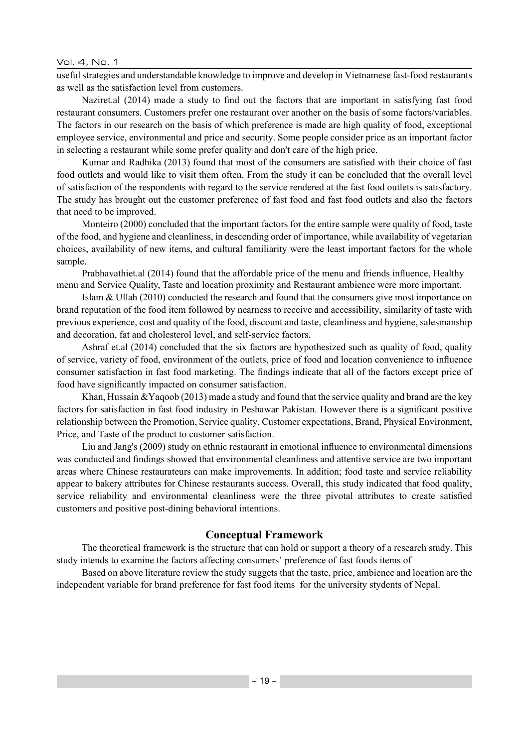useful strategies and understandable knowledge to improve and develop in Vietnamese fast-food restaurants as well as the satisfaction level from customers.

Naziret.al (2014) made a study to find out the factors that are important in satisfying fast food restaurant consumers. Customers prefer one restaurant over another on the basis of some factors/variables. The factors in our research on the basis of which preference is made are high quality of food, exceptional employee service, environmental and price and security. Some people consider price as an important factor in selecting a restaurant while some prefer quality and don't care of the high price.

Kumar and Radhika (2013) found that most of the consumers are satisfied with their choice of fast food outlets and would like to visit them often. From the study it can be concluded that the overall level of satisfaction of the respondents with regard to the service rendered at the fast food outlets is satisfactory. The study has brought out the customer preference of fast food and fast food outlets and also the factors that need to be improved.

Monteiro (2000) concluded that the important factors for the entire sample were quality of food, taste of the food, and hygiene and cleanliness, in descending order of importance, while availability of vegetarian choices, availability of new items, and cultural familiarity were the least important factors for the whole sample.

Prabhavathiet.al (2014) found that the affordable price of the menu and friends influence, Healthy menu and Service Quality, Taste and location proximity and Restaurant ambience were more important.

Islam & Ullah (2010) conducted the research and found that the consumers give most importance on brand reputation of the food item followed by nearness to receive and accessibility, similarity of taste with previous experience, cost and quality of the food, discount and taste, cleanliness and hygiene, salesmanship and decoration, fat and cholesterol level, and self-service factors.

Ashraf et.al (2014) concluded that the six factors are hypothesized such as quality of food, quality of service, variety of food, environment of the outlets, price of food and location convenience to influence consumer satisfaction in fast food marketing. The findings indicate that all of the factors except price of food have significantly impacted on consumer satisfaction.

Khan, Hussain  $&$  Yaqoob (2013) made a study and found that the service quality and brand are the key factors for satisfaction in fast food industry in Peshawar Pakistan. However there is a significant positive relationship between the Promotion, Service quality, Customer expectations, Brand, Physical Environment, Price, and Taste of the product to customer satisfaction.

Liu and Jang's (2009) study on ethnic restaurant in emotional influence to environmental dimensions was conducted and findings showed that environmental cleanliness and attentive service are two important areas where Chinese restaurateurs can make improvements. In addition; food taste and service reliability appear to bakery attributes for Chinese restaurants success. Overall, this study indicated that food quality, service reliability and environmental cleanliness were the three pivotal attributes to create satisfied customers and positive post-dining behavioral intentions.

#### **Conceptual Framework**

The theoretical framework is the structure that can hold or support a theory of a research study. This study intends to examine the factors affecting consumers' preference of fast foods items of

Based on above literature review the study suggets that the taste, price, ambience and location are the independent variable for brand preference for fast food items for the university stydents of Nepal.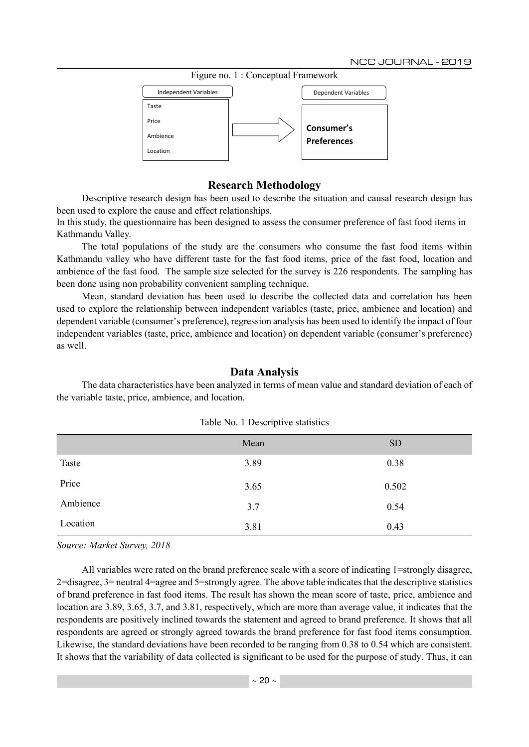

# **Research Methodology**

Descriptive research design has been used to describe the situation and causal research design has been used to explore the cause and effect relationships.

In this study, the questionnaire has been designed to assess the consumer preference of fast food items in Kathmandu Valley.

The total populations of the study are the consumers who consume the fast food items within Kathmandu valley who have different taste for the fast food items, price of the fast food, location and ambience of the fast food. The sample size selected for the survey is 226 respondents. The sampling has been done using non probability convenient sampling technique.

Mean, standard deviation has been used to describe the collected data and correlation has been used to explore the relationship between independent variables (taste, price, ambience and location) and dependent variable (consumer's preference), regression analysis has been used to identify the impact of four independent variables (taste, price, ambience and location) on dependent variable (consumer's preference) as well.

## **Data Analysis**

The data characteristics have been analyzed in terms of mean value and standard deviation of each of the variable taste, price, ambience, and location.

|          | л.   |           |
|----------|------|-----------|
|          | Mean | <b>SD</b> |
| Taste    | 3.89 | 0.38      |
| Price    | 3.65 | 0.502     |
| Ambience | 3.7  | 0.54      |
| Location | 3.81 | 0.43      |

Table No. 1 Descriptive statistics

*Source: Market Survey, 2018*

All variables were rated on the brand preference scale with a score of indicating 1=strongly disagree, 2=disagree, 3= neutral 4=agree and 5=strongly agree. The above table indicates that the descriptive statistics of brand preference in fast food items. The result has shown the mean score of taste, price, ambience and location are 3.89, 3.65, 3.7, and 3.81, respectively, which are more than average value, it indicates that the respondents are positively inclined towards the statement and agreed to brand preference. It shows that all respondents are agreed or strongly agreed towards the brand preference for fast food items consumption. Likewise, the standard deviations have been recorded to be ranging from 0.38 to 0.54 which are consistent. It shows that the variability of data collected is significant to be used for the purpose of study. Thus, it can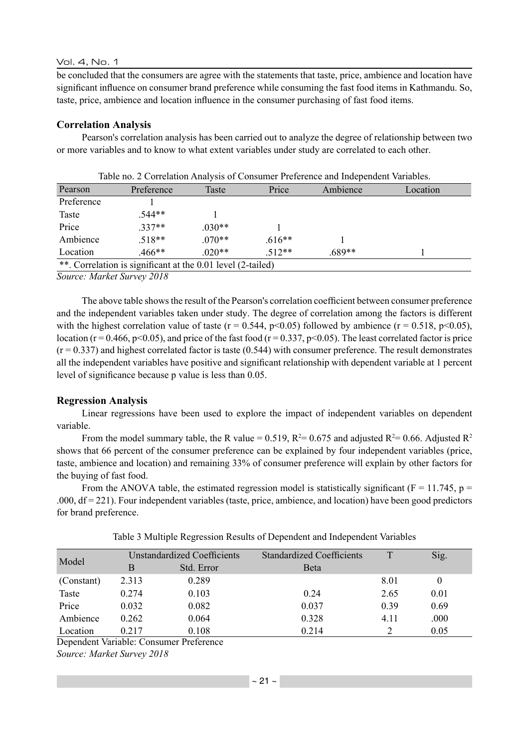be concluded that the consumers are agree with the statements that taste, price, ambience and location have significant influence on consumer brand preference while consuming the fast food items in Kathmandu. So, taste, price, ambience and location influence in the consumer purchasing of fast food items.

## **Correlation Analysis**

Pearson's correlation analysis has been carried out to analyze the degree of relationship between two or more variables and to know to what extent variables under study are correlated to each other.

| Table no. 2 Correlation Anarysis of Consumer Freierence and Independent Variables. |            |          |          |          |          |  |  |  |
|------------------------------------------------------------------------------------|------------|----------|----------|----------|----------|--|--|--|
| Pearson                                                                            | Preference | Taste    | Price    | Ambience | Location |  |  |  |
| Preference                                                                         |            |          |          |          |          |  |  |  |
| Taste                                                                              | .544**     |          |          |          |          |  |  |  |
| Price                                                                              | $337**$    | $.030**$ |          |          |          |  |  |  |
| Ambience                                                                           | $.518**$   | $.070**$ | $.616**$ |          |          |  |  |  |
| Location                                                                           | $.466**$   | $.020**$ | $.512**$ | .689**   |          |  |  |  |
| **. Correlation is significant at the 0.01 level (2-tailed)                        |            |          |          |          |          |  |  |  |

Table no. 2 Correlation Analysis of Consumer Preference and Independent Variables.

*Source: Market Survey 2018* 

The above table shows the result of the Pearson's correlation coefficient between consumer preference and the independent variables taken under study. The degree of correlation among the factors is different with the highest correlation value of taste ( $r = 0.544$ ,  $p < 0.05$ ) followed by ambience ( $r = 0.518$ ,  $p < 0.05$ ), location ( $r = 0.466$ ,  $p \le 0.05$ ), and price of the fast food ( $r = 0.337$ ,  $p \le 0.05$ ). The least correlated factor is price  $(r = 0.337)$  and highest correlated factor is taste  $(0.544)$  with consumer preference. The result demonstrates all the independent variables have positive and significant relationship with dependent variable at 1 percent level of significance because p value is less than 0.05.

## **Regression Analysis**

Linear regressions have been used to explore the impact of independent variables on dependent variable.

From the model summary table, the R value = 0.519,  $R^2 = 0.675$  and adjusted  $R^2 = 0.66$ . Adjusted  $R^2$ shows that 66 percent of the consumer preference can be explained by four independent variables (price, taste, ambience and location) and remaining 33% of consumer preference will explain by other factors for the buying of fast food.

From the ANOVA table, the estimated regression model is statistically significant ( $F = 11.745$ ,  $p =$ .000, df = 221). Four independent variables (taste, price, ambience, and location) have been good predictors for brand preference.

| Model      | Unstandardized Coefficients |            | <b>Standardized Coefficients</b> | T    | Sig. |
|------------|-----------------------------|------------|----------------------------------|------|------|
|            | B                           | Std. Error | <b>B</b> eta                     |      |      |
| (Constant) | 2.313                       | 0.289      |                                  | 8.01 |      |
| Taste      | 0.274                       | 0.103      | 0.24                             | 2.65 | 0.01 |
| Price      | 0.032                       | 0.082      | 0.037                            | 0.39 | 0.69 |
| Ambience   | 0.262                       | 0.064      | 0.328                            | 4.11 | .000 |
| Location   | 0.217                       | 0.108      | 0.214                            |      | 0.05 |

Table 3 Multiple Regression Results of Dependent and Independent Variables

Dependent Variable: Consumer Preference

*Source: Market Survey 2018*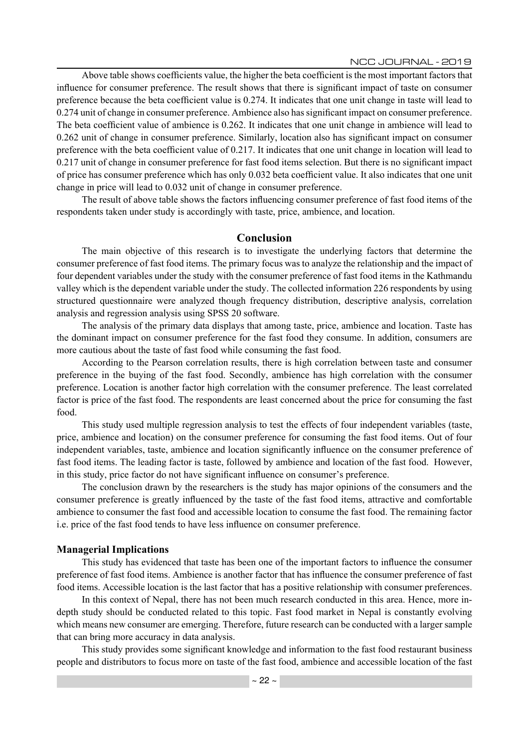Above table shows coefficients value, the higher the beta coefficient is the most important factors that influence for consumer preference. The result shows that there is significant impact of taste on consumer preference because the beta coefficient value is 0.274. It indicates that one unit change in taste will lead to 0.274 unit of change in consumer preference. Ambience also has significant impact on consumer preference. The beta coefficient value of ambience is 0.262. It indicates that one unit change in ambience will lead to 0.262 unit of change in consumer preference. Similarly, location also has significant impact on consumer preference with the beta coefficient value of 0.217. It indicates that one unit change in location will lead to 0.217 unit of change in consumer preference for fast food items selection. But there is no significant impact of price has consumer preference which has only 0.032 beta coefficient value. It also indicates that one unit change in price will lead to 0.032 unit of change in consumer preference.

The result of above table shows the factors influencing consumer preference of fast food items of the respondents taken under study is accordingly with taste, price, ambience, and location.

## **Conclusion**

The main objective of this research is to investigate the underlying factors that determine the consumer preference of fast food items. The primary focus was to analyze the relationship and the impact of four dependent variables under the study with the consumer preference of fast food items in the Kathmandu valley which is the dependent variable under the study. The collected information 226 respondents by using structured questionnaire were analyzed though frequency distribution, descriptive analysis, correlation analysis and regression analysis using SPSS 20 software.

The analysis of the primary data displays that among taste, price, ambience and location. Taste has the dominant impact on consumer preference for the fast food they consume. In addition, consumers are more cautious about the taste of fast food while consuming the fast food.

According to the Pearson correlation results, there is high correlation between taste and consumer preference in the buying of the fast food. Secondly, ambience has high correlation with the consumer preference. Location is another factor high correlation with the consumer preference. The least correlated factor is price of the fast food. The respondents are least concerned about the price for consuming the fast food.

This study used multiple regression analysis to test the effects of four independent variables (taste, price, ambience and location) on the consumer preference for consuming the fast food items. Out of four independent variables, taste, ambience and location significantly influence on the consumer preference of fast food items. The leading factor is taste, followed by ambience and location of the fast food. However, in this study, price factor do not have significant influence on consumer's preference.

The conclusion drawn by the researchers is the study has major opinions of the consumers and the consumer preference is greatly influenced by the taste of the fast food items, attractive and comfortable ambience to consumer the fast food and accessible location to consume the fast food. The remaining factor i.e. price of the fast food tends to have less influence on consumer preference.

#### **Managerial Implications**

This study has evidenced that taste has been one of the important factors to influence the consumer preference of fast food items. Ambience is another factor that has influence the consumer preference of fast food items. Accessible location is the last factor that has a positive relationship with consumer preferences.

In this context of Nepal, there has not been much research conducted in this area. Hence, more indepth study should be conducted related to this topic. Fast food market in Nepal is constantly evolving which means new consumer are emerging. Therefore, future research can be conducted with a larger sample that can bring more accuracy in data analysis.

This study provides some significant knowledge and information to the fast food restaurant business people and distributors to focus more on taste of the fast food, ambience and accessible location of the fast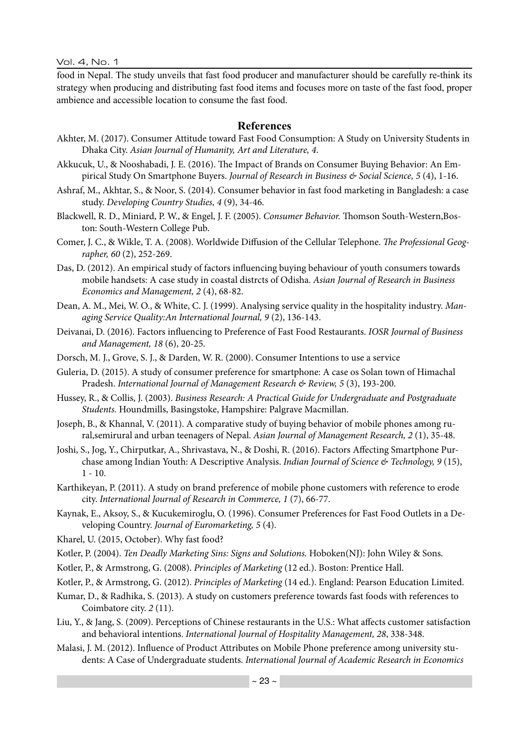food in Nepal. The study unveils that fast food producer and manufacturer should be carefully re-think its strategy when producing and distributing fast food items and focuses more on taste of the fast food, proper ambience and accessible location to consume the fast food.

# **References**

- Akhter, M. (2017). Consumer Attitude toward Fast Food Consumption: A Study on University Students in Dhaka City. *Asian Journal of Humanity, Art and Literature, 4*.
- Akkucuk, U., & Nooshabadi, J. E. (2016). The Impact of Brands on Consumer Buying Behavior: An Empirical Study On Smartphone Buyers. *Journal of Research in Business & Social Science, 5* (4), 1-16.
- Ashraf, M., Akhtar, S., & Noor, S. (2014). Consumer behavior in fast food marketing in Bangladesh: a case study. *Developing Country Studies, 4* (9), 34-46.
- Blackwell, R. D., Miniard, P. W., & Engel, J. F. (2005). *Consumer Behavior.* Thomson South-Western,Boston: South-Western College Pub.
- Comer, J. C., & Wikle, T. A. (2008). Worldwide Diffusion of the Cellular Telephone. *The Professional Geographer, 60* (2), 252-269.
- Das, D. (2012). An empirical study of factors influencing buying behaviour of youth consumers towards mobile handsets: A case study in coastal distrcts of Odisha. *Asian Journal of Research in Business Economics and Management, 2* (4), 68-82.
- Dean, A. M., Mei, W. O., & White, C. J. (1999). Analysing service quality in the hospitality industry. *Managing Service Quality:An International Journal, 9* (2), 136-143.
- Deivanai, D. (2016). Factors influencing to Preference of Fast Food Restaurants. *IOSR Journal of Business and Management, 18* (6), 20-25.
- Dorsch, M. J., Grove, S. J., & Darden, W. R. (2000). Consumer Intentions to use a service
- Guleria, D. (2015). A study of consumer preference for smartphone: A case os Solan town of Himachal Pradesh. *International Journal of Management Research & Review, 5* (3), 193-200.
- Hussey, R., & Collis, J. (2003). *Business Research: A Practical Guide for Undergraduate and Postgraduate Students.* Houndmills, Basingstoke, Hampshire: Palgrave Macmillan.
- Joseph, B., & Khannal, V. (2011). A comparative study of buying behavior of mobile phones among rural,semirural and urban teenagers of Nepal. *Asian Journal of Management Research, 2* (1), 35-48.
- Joshi, S., Jog, Y., Chirputkar, A., Shrivastava, N., & Doshi, R. (2016). Factors Affecting Smartphone Purchase among Indian Youth: A Descriptive Analysis. *Indian Journal of Science & Technology, 9* (15),  $1 - 10$ .
- Karthikeyan, P. (2011). A study on brand preference of mobile phone customers with reference to erode city. *International Journal of Research in Commerce, 1* (7), 66-77.
- Kaynak, E., Aksoy, S., & Kucukemiroglu, O. (1996). Consumer Preferences for Fast Food Outlets in a Developing Country. *Journal of Euromarketing, 5* (4).
- Kharel, U. (2015, October). Why fast food?
- Kotler, P. (2004). *Ten Deadly Marketing Sins: Signs and Solutions.* Hoboken(NJ): John Wiley & Sons.
- Kotler, P., & Armstrong, G. (2008). *Principles of Marketing* (12 ed.). Boston: Prentice Hall.

Kotler, P., & Armstrong, G. (2012). *Principles of Marketing* (14 ed.). England: Pearson Education Limited.

- Kumar, D., & Radhika, S. (2013). A study on customers preference towards fast foods with references to Coimbatore city. *2* (11).
- Liu, Y., & Jang, S. (2009). Perceptions of Chinese restaurants in the U.S.: What affects customer satisfaction and behavioral intentions. *International Journal of Hospitality Management, 28*, 338-348.
- Malasi, J. M. (2012). Influence of Product Attributes on Mobile Phone preference among university students: A Case of Undergraduate students. *International Journal of Academic Research in Economics*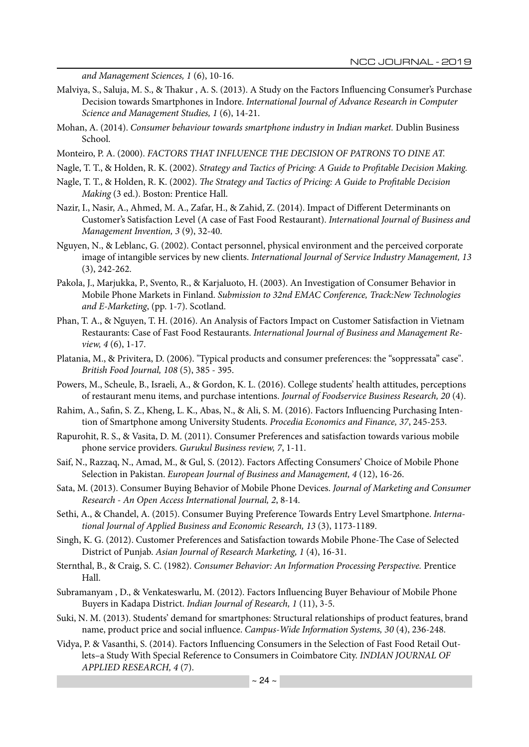*and Management Sciences, 1* (6), 10-16.

- Malviya, S., Saluja, M. S., & Thakur , A. S. (2013). A Study on the Factors Influencing Consumer's Purchase Decision towards Smartphones in Indore. *International Journal of Advance Research in Computer Science and Management Studies, 1* (6), 14-21.
- Mohan, A. (2014). *Consumer behaviour towards smartphone industry in Indian market.* Dublin Business School.
- Monteiro, P. A. (2000). *FACTORS THAT INFLUENCE THE DECISION OF PATRONS TO DINE AT.*
- Nagle, T. T., & Holden, R. K. (2002). *Strategy and Tactics of Pricing: A Guide to Profitable Decision Making.*
- Nagle, T. T., & Holden, R. K. (2002). *The Strategy and Tactics of Pricing: A Guide to Profitable Decision Making* (3 ed.). Boston: Prentice Hall.
- Nazir, I., Nasir, A., Ahmed, M. A., Zafar, H., & Zahid, Z. (2014). Impact of Different Determinants on Customer's Satisfaction Level (A case of Fast Food Restaurant). *International Journal of Business and Management Invention, 3* (9), 32-40.
- Nguyen, N., & Leblanc, G. (2002). Contact personnel, physical environment and the perceived corporate image of intangible services by new clients. *International Journal of Service Industry Management, 13* (3), 242-262.
- Pakola, J., Marjukka, P., Svento, R., & Karjaluoto, H. (2003). An Investigation of Consumer Behavior in Mobile Phone Markets in Finland. *Submission to 32nd EMAC Conference, Track:New Technologies and E-Marketing*, (pp. 1-7). Scotland.
- Phan, T. A., & Nguyen, T. H. (2016). An Analysis of Factors Impact on Customer Satisfaction in Vietnam Restaurants: Case of Fast Food Restaurants. *International Journal of Business and Management Review, 4* (6), 1-17.
- Platania, M., & Privitera, D. (2006). "Typical products and consumer preferences: the "soppressata" case". *British Food Journal, 108* (5), 385 - 395.
- Powers, M., Scheule, B., Israeli, A., & Gordon, K. L. (2016). College students' health attitudes, perceptions of restaurant menu items, and purchase intentions. *Journal of Foodservice Business Research, 20* (4).
- Rahim, A., Safin, S. Z., Kheng, L. K., Abas, N., & Ali, S. M. (2016). Factors Influencing Purchasing Intention of Smartphone among University Students. *Procedia Economics and Finance, 37*, 245-253.
- Rapurohit, R. S., & Vasita, D. M. (2011). Consumer Preferences and satisfaction towards various mobile phone service providers. *Gurukul Business review, 7*, 1-11.
- Saif, N., Razzaq, N., Amad, M., & Gul, S. (2012). Factors Affecting Consumers' Choice of Mobile Phone Selection in Pakistan. *European Journal of Business and Management, 4* (12), 16-26.
- Sata, M. (2013). Consumer Buying Behavior of Mobile Phone Devices. *Journal of Marketing and Consumer Research - An Open Access International Journal, 2*, 8-14.
- Sethi, A., & Chandel, A. (2015). Consumer Buying Preference Towards Entry Level Smartphone. *International Journal of Applied Business and Economic Research, 13* (3), 1173-1189.
- Singh, K. G. (2012). Customer Preferences and Satisfaction towards Mobile Phone-The Case of Selected District of Punjab. *Asian Journal of Research Marketing, 1* (4), 16-31.
- Sternthal, B., & Craig, S. C. (1982). *Consumer Behavior: An Information Processing Perspective.* Prentice Hall.
- Subramanyam , D., & Venkateswarlu, M. (2012). Factors Influencing Buyer Behaviour of Mobile Phone Buyers in Kadapa District. *Indian Journal of Research, 1* (11), 3-5.
- Suki, N. M. (2013). Students' demand for smartphones: Structural relationships of product features, brand name, product price and social influence. *Campus-Wide Information Systems, 30* (4), 236-248.
- Vidya, P. & Vasanthi, S. (2014). Factors Influencing Consumers in the Selection of Fast Food Retail Outlets–a Study With Special Reference to Consumers in Coimbatore City. *INDIAN JOURNAL OF APPLIED RESEARCH, 4* (7).